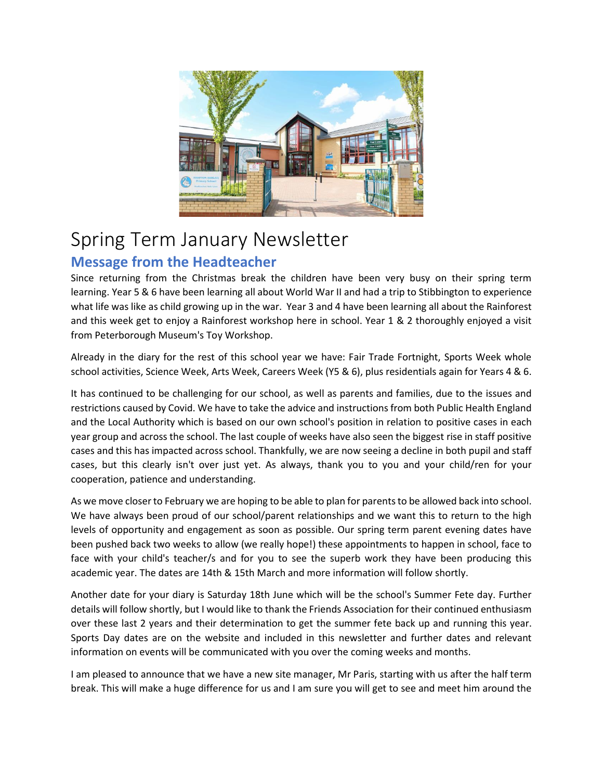

# Spring Term January Newsletter

# **Message from the Headteacher**

Since returning from the Christmas break the children have been very busy on their spring term learning. Year 5 & 6 have been learning all about World War II and had a trip to Stibbington to experience what life was like as child growing up in the war. Year 3 and 4 have been learning all about the Rainforest and this week get to enjoy a Rainforest workshop here in school. Year 1 & 2 thoroughly enjoyed a visit from Peterborough Museum's Toy Workshop.

Already in the diary for the rest of this school year we have: Fair Trade Fortnight, Sports Week whole school activities, Science Week, Arts Week, Careers Week (Y5 & 6), plus residentials again for Years 4 & 6.

It has continued to be challenging for our school, as well as parents and families, due to the issues and restrictions caused by Covid. We have to take the advice and instructions from both Public Health England and the Local Authority which is based on our own school's position in relation to positive cases in each year group and across the school. The last couple of weeks have also seen the biggest rise in staff positive cases and this has impacted across school. Thankfully, we are now seeing a decline in both pupil and staff cases, but this clearly isn't over just yet. As always, thank you to you and your child/ren for your cooperation, patience and understanding.

As we move closer to February we are hoping to be able to plan for parents to be allowed back into school. We have always been proud of our school/parent relationships and we want this to return to the high levels of opportunity and engagement as soon as possible. Our spring term parent evening dates have been pushed back two weeks to allow (we really hope!) these appointments to happen in school, face to face with your child's teacher/s and for you to see the superb work they have been producing this academic year. The dates are 14th & 15th March and more information will follow shortly.

Another date for your diary is Saturday 18th June which will be the school's Summer Fete day. Further details will follow shortly, but I would like to thank the Friends Association for their continued enthusiasm over these last 2 years and their determination to get the summer fete back up and running this year. Sports Day dates are on the website and included in this newsletter and further dates and relevant information on events will be communicated with you over the coming weeks and months.

I am pleased to announce that we have a new site manager, Mr Paris, starting with us after the half term break. This will make a huge difference for us and I am sure you will get to see and meet him around the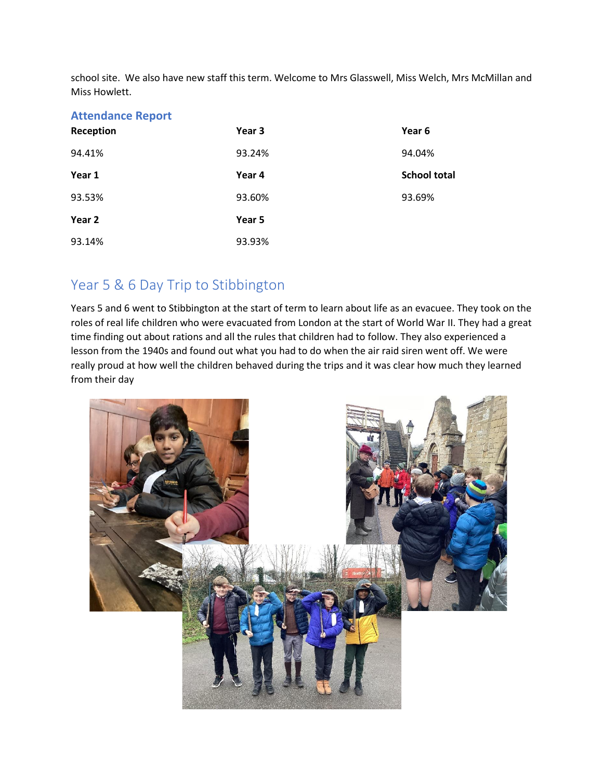school site. We also have new staff this term. Welcome to Mrs Glasswell, Miss Welch, Mrs McMillan and Miss Howlett.

| <b>Attendance Report</b> |        |                     |
|--------------------------|--------|---------------------|
| Reception                | Year 3 | Year 6              |
| 94.41%                   | 93.24% | 94.04%              |
| Year 1                   | Year 4 | <b>School total</b> |
| 93.53%                   | 93.60% | 93.69%              |
| Year 2                   | Year 5 |                     |
| 93.14%                   | 93.93% |                     |

## Year 5 & 6 Day Trip to Stibbington

Years 5 and 6 went to Stibbington at the start of term to learn about life as an evacuee. They took on the roles of real life children who were evacuated from London at the start of World War II. They had a great time finding out about rations and all the rules that children had to follow. They also experienced a lesson from the 1940s and found out what you had to do when the air raid siren went off. We were really proud at how well the children behaved during the trips and it was clear how much they learned from their day

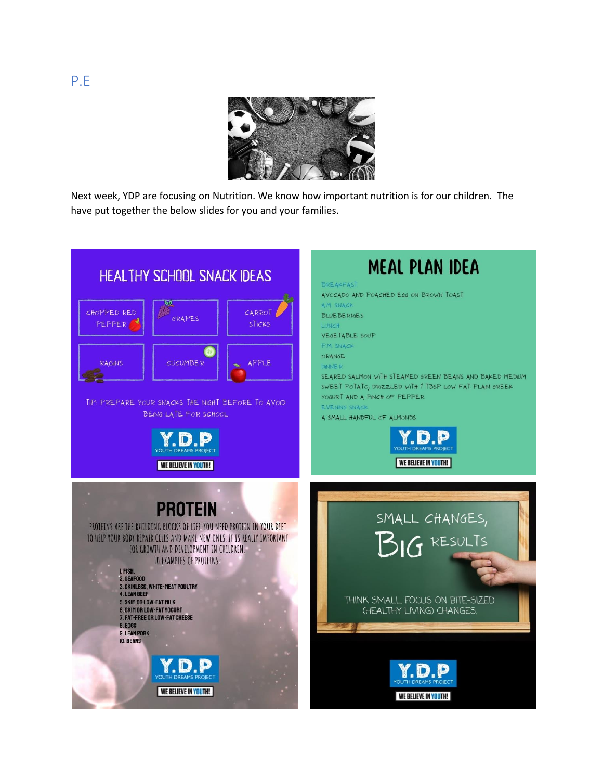

Next week, YDP are focusing on Nutrition. We know how important nutrition is for our children. The have put together the below slides for you and your families.

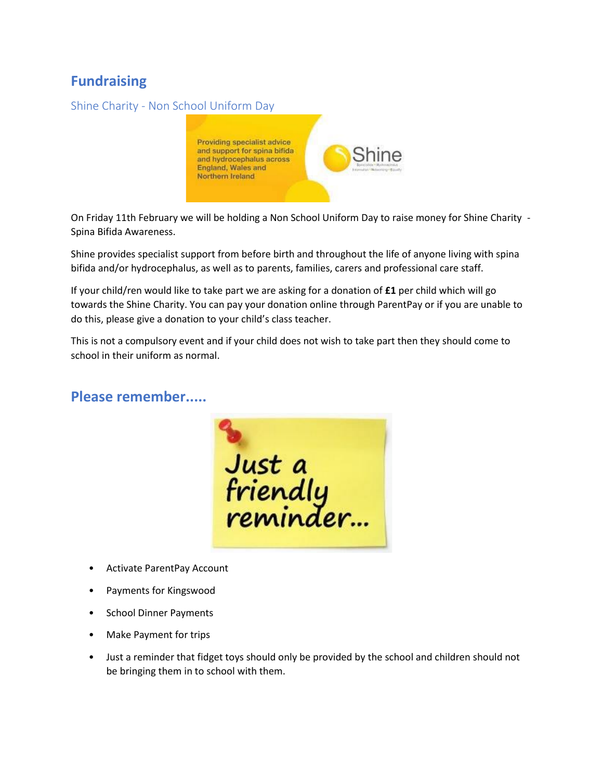# **Fundraising**

### Shine Charity - Non School Uniform Day



On Friday 11th February we will be holding a Non School Uniform Day to raise money for Shine Charity - Spina Bifida Awareness.

Shine provides specialist support from before birth and throughout the life of anyone living with spina bifida and/or hydrocephalus, as well as to parents, families, carers and professional care staff.

If your child/ren would like to take part we are asking for a donation of **£1** per child which will go towards the Shine Charity. You can pay your donation online through ParentPay or if you are unable to do this, please give a donation to your child's class teacher.

This is not a compulsory event and if your child does not wish to take part then they should come to school in their uniform as normal.

### **Please remember.....**

Just a<br>friendly<br>reminder...

- Activate ParentPay Account
- Payments for Kingswood
- School Dinner Payments
- Make Payment for trips
- Just a reminder that fidget toys should only be provided by the school and children should not be bringing them in to school with them.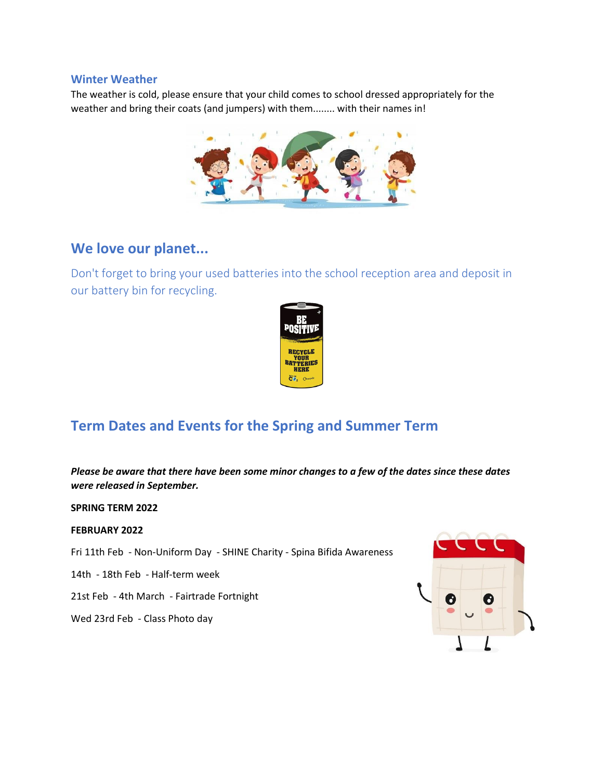#### **Winter Weather**

The weather is cold, please ensure that your child comes to school dressed appropriately for the weather and bring their coats (and jumpers) with them........ with their names in!



### **We love our planet...**

Don't forget to bring your used batteries into the school reception area and deposit in our battery bin for recycling.



# **Term Dates and Events for the Spring and Summer Term**

*Please be aware that there have been some minor changes to a few of the dates since these dates were released in September.*

**SPRING TERM 2022**

#### **FEBRUARY 2022**

Fri 11th Feb - Non-Uniform Day - SHINE Charity - Spina Bifida Awareness

14th - 18th Feb - Half-term week

21st Feb - 4th March - Fairtrade Fortnight

Wed 23rd Feb - Class Photo day

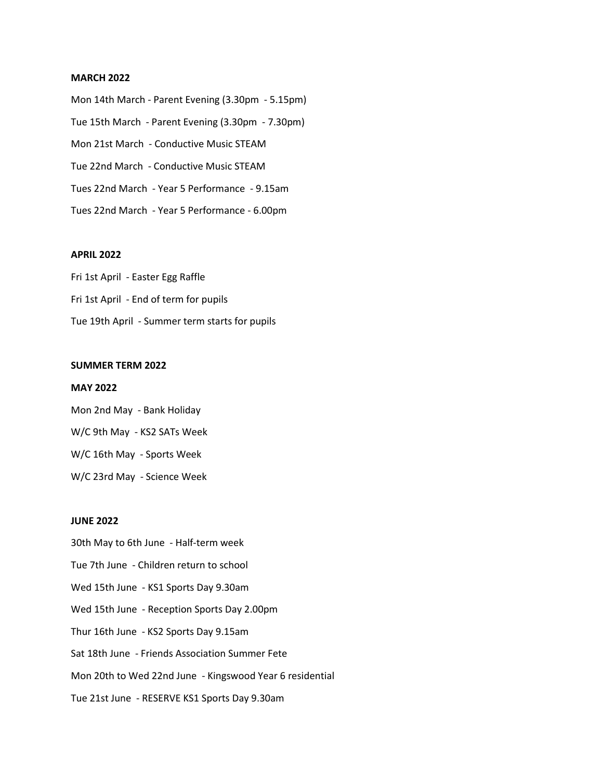#### **MARCH 2022**

Mon 14th March - Parent Evening (3.30pm - 5.15pm) Tue 15th March - Parent Evening (3.30pm - 7.30pm) Mon 21st March - Conductive Music STEAM Tue 22nd March - Conductive Music STEAM Tues 22nd March - Year 5 Performance - 9.15am Tues 22nd March - Year 5 Performance - 6.00pm

#### **APRIL 2022**

Fri 1st April - Easter Egg Raffle Fri 1st April - End of term for pupils Tue 19th April - Summer term starts for pupils

#### **SUMMER TERM 2022**

#### **MAY 2022**

Mon 2nd May - Bank Holiday W/C 9th May - KS2 SATs Week W/C 16th May - Sports Week W/C 23rd May - Science Week

#### **JUNE 2022**

30th May to 6th June - Half-term week Tue 7th June - Children return to school Wed 15th June - KS1 Sports Day 9.30am Wed 15th June - Reception Sports Day 2.00pm Thur 16th June - KS2 Sports Day 9.15am Sat 18th June - Friends Association Summer Fete Mon 20th to Wed 22nd June - Kingswood Year 6 residential Tue 21st June - RESERVE KS1 Sports Day 9.30am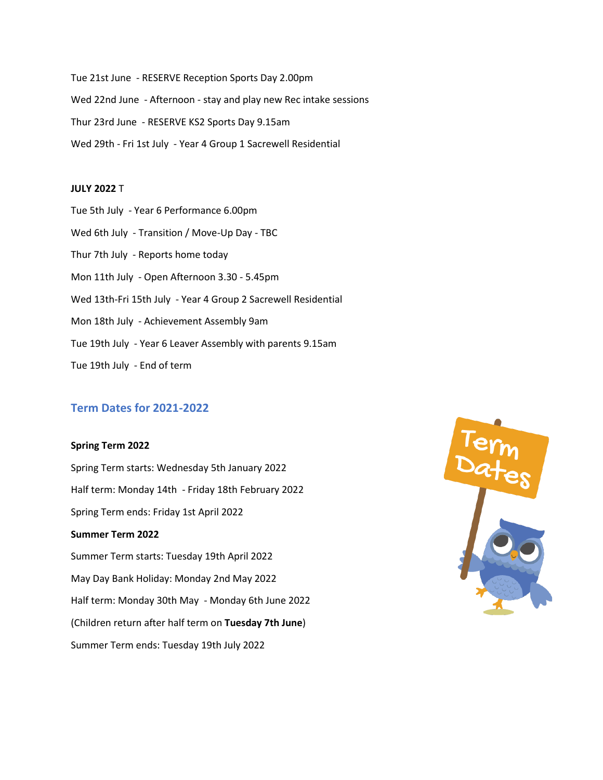Tue 21st June - RESERVE Reception Sports Day 2.00pm Wed 22nd June - Afternoon - stay and play new Rec intake sessions Thur 23rd June - RESERVE KS2 Sports Day 9.15am Wed 29th - Fri 1st July - Year 4 Group 1 Sacrewell Residential

#### **JULY 2022** T

Tue 5th July - Year 6 Performance 6.00pm Wed 6th July - Transition / Move-Up Day - TBC Thur 7th July - Reports home today Mon 11th July - Open Afternoon 3.30 - 5.45pm Wed 13th-Fri 15th July - Year 4 Group 2 Sacrewell Residential Mon 18th July - Achievement Assembly 9am Tue 19th July - Year 6 Leaver Assembly with parents 9.15am Tue 19th July - End of term

### **Term Dates for 2021-2022**

#### **Spring Term 2022**

Spring Term starts: Wednesday 5th January 2022 Half term: Monday 14th - Friday 18th February 2022 Spring Term ends: Friday 1st April 2022 **Summer Term 2022** Summer Term starts: Tuesday 19th April 2022 May Day Bank Holiday: Monday 2nd May 2022 Half term: Monday 30th May - Monday 6th June 2022 (Children return after half term on **Tuesday 7th June**) Summer Term ends: Tuesday 19th July 2022